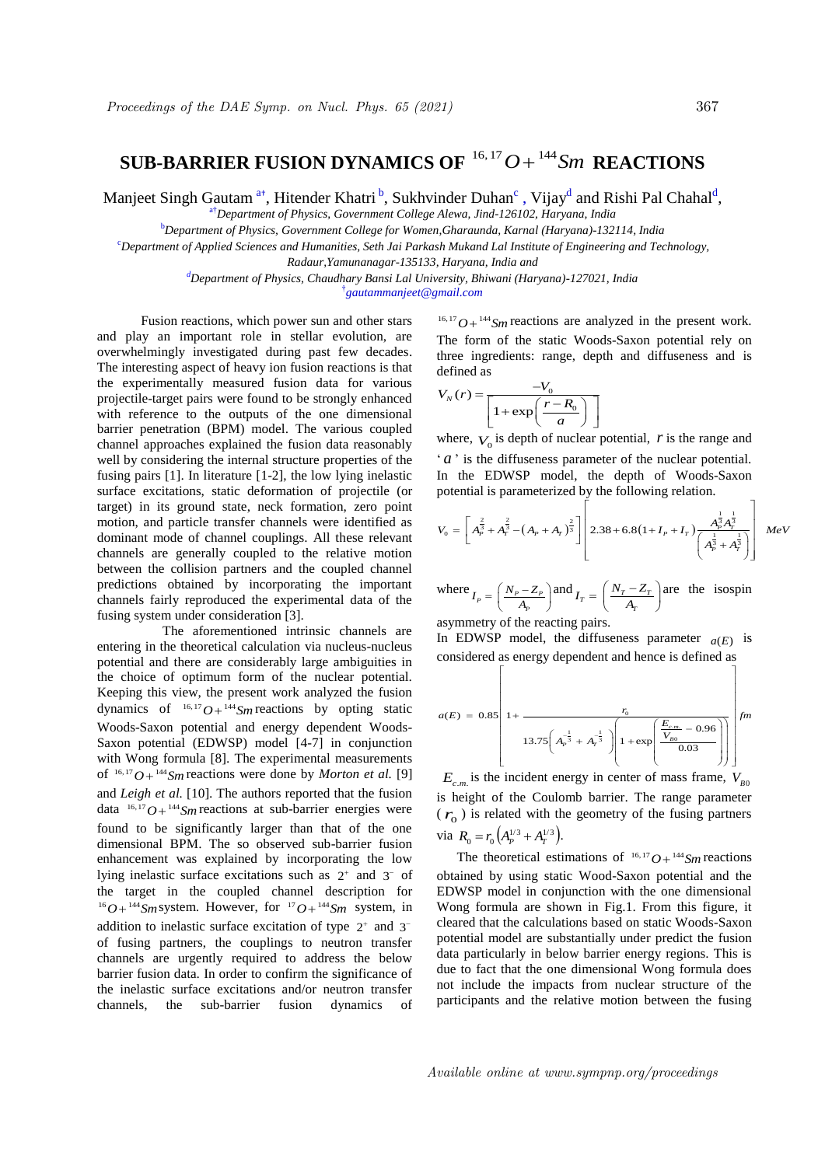## $\textbf{SUB-BARRIER} \text{ FUSION DYNAMICS OF } ^{16,17}O + ^{144}Sm \text{ REACTIONS}$

Manjeet Singh Gautam <sup>a+</sup>, Hitender Khatri <sup>b</sup>, Sukhvinder Duhan<sup>c</sup>, Vijay<sup>d</sup> and Rishi Pal Chahal<sup>d</sup>,

a†*Department of Physics, Government College Alewa, Jind-126102, Haryana, India*

<sup>b</sup>*Department of Physics, Government College for Women,Gharaunda, Karnal (Haryana)-132114, India*

<sup>c</sup>*Department of Applied Sciences and Humanities, Seth Jai Parkash Mukand Lal Institute of Engineering and Technology,* 

*Radaur,Yamunanagar-135133, Haryana, India and*

*<sup>d</sup>Department of Physics, Chaudhary Bansi Lal University, Bhiwani (Haryana)-127021, India* † *gautammanjeet@gmail.com*

 Fusion reactions, which power sun and other stars and play an important role in stellar evolution, are overwhelmingly investigated during past few decades. The interesting aspect of heavy ion fusion reactions is that the experimentally measured fusion data for various projectile-target pairs were found to be strongly enhanced with reference to the outputs of the one dimensional barrier penetration (BPM) model. The various coupled channel approaches explained the fusion data reasonably well by considering the internal structure properties of the fusing pairs [1]. In literature [1-2], the low lying inelastic surface excitations, static deformation of projectile (or target) in its ground state, neck formation, zero point motion, and particle transfer channels were identified as dominant mode of channel couplings. All these relevant channels are generally coupled to the relative motion between the collision partners and the coupled channel predictions obtained by incorporating the important channels fairly reproduced the experimental data of the fusing system under consideration [3].

The aforementioned intrinsic channels are entering in the theoretical calculation via nucleus-nucleus potential and there are considerably large ambiguities in the choice of optimum form of the nuclear potential. Keeping this view, the present work analyzed the fusion dynamics of  $^{16,17}O + ^{144}Sm$  reactions by opting static Woods-Saxon potential and energy dependent Woods-Saxon potential (EDWSP) model [4-7] in conjunction with Wong formula [8]. The experimental measurements of  $^{16,17}O + ^{144}Sm$  reactions were done by *Morton et al.* [9] and *Leigh et al.* [10]. The authors reported that the fusion data  $16, 17$   $O + 144$  *Sm* reactions at sub-barrier energies were found to be significantly larger than that of the one dimensional BPM. The so observed sub-barrier fusion enhancement was explained by incorporating the low lying inelastic surface excitations such as  $2^+$  and  $3^-$  of the target in the coupled channel description for  $^{16}O+^{144}Sm$  system. However, for  $^{17}O+^{144}Sm$  system, in addition to inelastic surface excitation of type  $2^+$  and  $3^$ of fusing partners, the couplings to neutron transfer channels are urgently required to address the below barrier fusion data. In order to confirm the significance of the inelastic surface excitations and/or neutron transfer channels, the sub-barrier fusion dynamics of

 $16, 17$   $O + {144}$  *Sm* reactions are analyzed in the present work. The form of the static Woods-Saxon potential rely on three ingredients: range, depth and diffuseness and is

defined as  
\n
$$
V_N(r) = \frac{-V_0}{\left[1 + \exp\left(\frac{r - R_0}{a}\right)\right]}
$$

where,  $V_0$  is depth of nuclear potential,  $r$  is the range and ' *a* ' is the diffuseness parameter of the nuclear potential. In the EDWSP model, the depth of Woods-Saxon<br>potential is parameterized by the following relation.

In the EDWSP model, the depth of Woods-Saxon potential is parameterized by the following relation.  
\n
$$
V_0 = \left[ A_p^{\frac{2}{3}} + A_p^{\frac{2}{3}} - \left( A_p + A_T \right)^{\frac{2}{3}} \right] \left[ 2.38 + 6.8(1 + I_p + I_T) \frac{A_p^{\frac{1}{3}} A_p^{\frac{1}{3}}}{\left( A_p^{\frac{1}{3}} + A_T^{\frac{1}{3}} \right)} \right] MeV
$$

where  $I_p = \left(\frac{N_p - Z_p}{A_p}\right)$  $I_T = \left(\frac{N_p - Z_p}{A_p}\right)$  and  $I_T = \left(\frac{N_T - Z_T}{A_T}\right)$  $=\left(\frac{N_T - Z_T}{A_T}\right)$  are the isospin

asymmetry of the reacting pairs.

In EDWSP model, the diffuseness parameter  $a(E)$  is considered as energy dependent and hence is defined as considered as energy dependent and hence is defined as model, the diffuseness parameter  $a(E)$  is<br>as energy dependent and hence is defined as

$$
a(E) = 0.85 \left[ 1 + \frac{r_0}{13.75 \left( A_p^{-\frac{1}{3}} + A_p^{-\frac{1}{3}} \right) \left[ 1 + \exp\left( \frac{E_{c.m.}}{V_{B0}} - 0.96 \right) \right]} \right] fm
$$

 $E_{c.m.}$  is the incident energy in center of mass frame,  $V_{B0}$ is height of the Coulomb barrier. The range parameter  $(r<sub>o</sub>)$  is related with the geometry of the fusing partners via  $R_0 = r_0 \left( A_p^{1/3} + A_T^{1/3} \right)$ .

The theoretical estimations of  $16, 17$   $O + 144$  *Sm* reactions obtained by using static Wood-Saxon potential and the EDWSP model in conjunction with the one dimensional Wong formula are shown in Fig.1. From this figure, it cleared that the calculations based on static Woods-Saxon potential model are substantially under predict the fusion data particularly in below barrier energy regions. This is due to fact that the one dimensional Wong formula does not include the impacts from nuclear structure of the participants and the relative motion between the fusing